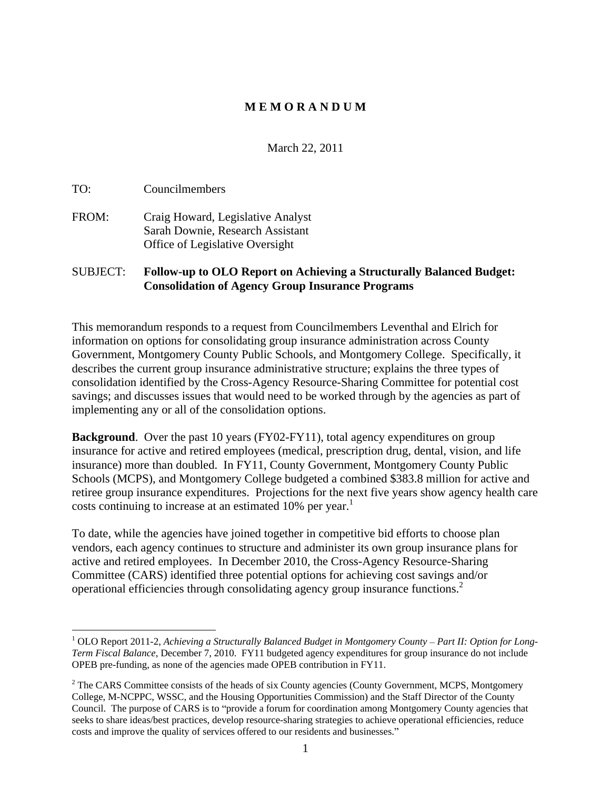## **M E M O R A N D U M**

March 22, 2011

TO: Councilmembers

FROM: Craig Howard, Legislative Analyst Sarah Downie, Research Assistant Office of Legislative Oversight

### SUBJECT: **Follow-up to OLO Report on Achieving a Structurally Balanced Budget: Consolidation of Agency Group Insurance Programs**

This memorandum responds to a request from Councilmembers Leventhal and Elrich for information on options for consolidating group insurance administration across County Government, Montgomery County Public Schools, and Montgomery College. Specifically, it describes the current group insurance administrative structure; explains the three types of consolidation identified by the Cross-Agency Resource-Sharing Committee for potential cost savings; and discusses issues that would need to be worked through by the agencies as part of implementing any or all of the consolidation options.

**Background.** Over the past 10 years (FY02-FY11), total agency expenditures on group insurance for active and retired employees (medical, prescription drug, dental, vision, and life insurance) more than doubled. In FY11, County Government, Montgomery County Public Schools (MCPS), and Montgomery College budgeted a combined \$383.8 million for active and retiree group insurance expenditures. Projections for the next five years show agency health care costs continuing to increase at an estimated 10% per year.<sup>1</sup>

To date, while the agencies have joined together in competitive bid efforts to choose plan vendors, each agency continues to structure and administer its own group insurance plans for active and retired employees. In December 2010, the Cross-Agency Resource-Sharing Committee (CARS) identified three potential options for achieving cost savings and/or operational efficiencies through consolidating agency group insurance functions.2

 <sup>1</sup> OLO Report 2011-2, *Achieving a Structurally Balanced Budget in Montgomery County Part II: Option for Long- Term Fiscal Balance*, December 7, 2010. FY11 budgeted agency expenditures for group insurance do not include OPEB pre-funding, as none of the agencies made OPEB contribution in FY11.

 $2^2$  The CARS Committee consists of the heads of six County agencies (County Government, MCPS, Montgomery College, M-NCPPC, WSSC, and the Housing Opportunities Commission) and the Staff Director of the County Council. The purpose of CARS is to "provide a forum for coordination among Montgomery County agencies that seeks to share ideas/best practices, develop resource-sharing strategies to achieve operational efficiencies, reduce costs and improve the quality of services offered to our residents and businesses.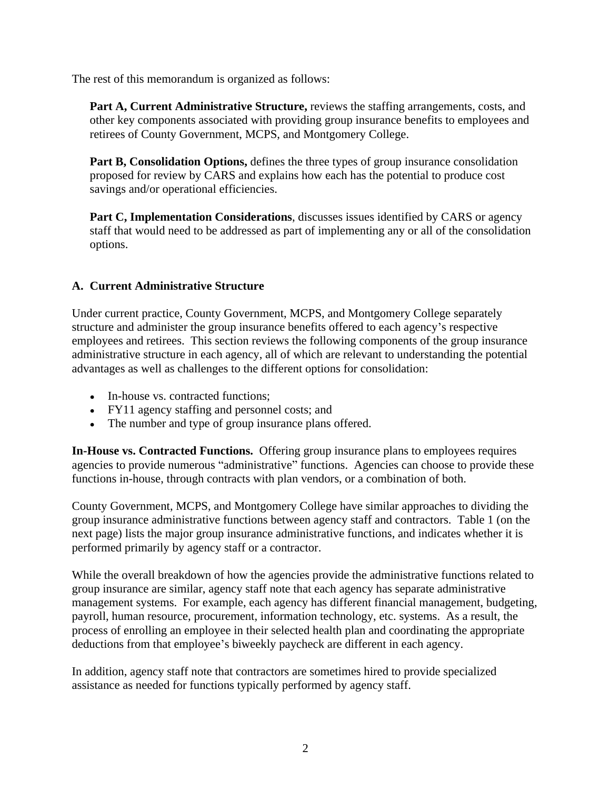The rest of this memorandum is organized as follows:

**Part A, Current Administrative Structure,** reviews the staffing arrangements, costs, and other key components associated with providing group insurance benefits to employees and retirees of County Government, MCPS, and Montgomery College.

**Part B, Consolidation Options,** defines the three types of group insurance consolidation proposed for review by CARS and explains how each has the potential to produce cost savings and/or operational efficiencies.

**Part C, Implementation Considerations**, discusses issues identified by CARS or agency staff that would need to be addressed as part of implementing any or all of the consolidation options.

# **A. Current Administrative Structure**

Under current practice, County Government, MCPS, and Montgomery College separately structure and administer the group insurance benefits offered to each agency's respective employees and retirees. This section reviews the following components of the group insurance administrative structure in each agency, all of which are relevant to understanding the potential advantages as well as challenges to the different options for consolidation:

- In-house vs. contracted functions;
- FY11 agency staffing and personnel costs; and
- The number and type of group insurance plans offered.

**In-House vs. Contracted Functions.** Offering group insurance plans to employees requires agencies to provide numerous "administrative" functions. Agencies can choose to provide these functions in-house, through contracts with plan vendors, or a combination of both.

County Government, MCPS, and Montgomery College have similar approaches to dividing the group insurance administrative functions between agency staff and contractors. Table 1 (on the next page) lists the major group insurance administrative functions, and indicates whether it is performed primarily by agency staff or a contractor.

While the overall breakdown of how the agencies provide the administrative functions related to group insurance are similar, agency staff note that each agency has separate administrative management systems. For example, each agency has different financial management, budgeting, payroll, human resource, procurement, information technology, etc. systems. As a result, the process of enrolling an employee in their selected health plan and coordinating the appropriate deductions from that employee's biweekly paycheck are different in each agency.

In addition, agency staff note that contractors are sometimes hired to provide specialized assistance as needed for functions typically performed by agency staff.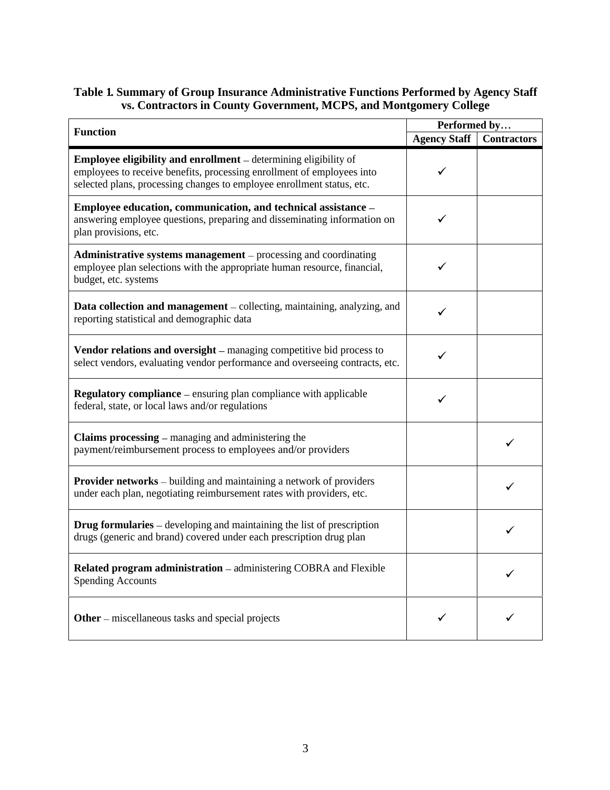#### **Table 1. Summary of Group Insurance Administrative Functions Performed by Agency Staff vs. Contractors in County Government, MCPS, and Montgomery College**

|                                                                                                                                                                                                                             | Performed by                    |  |  |
|-----------------------------------------------------------------------------------------------------------------------------------------------------------------------------------------------------------------------------|---------------------------------|--|--|
| <b>Function</b>                                                                                                                                                                                                             | <b>Agency Staff Contractors</b> |  |  |
| <b>Employee eligibility and enrollment</b> – determining eligibility of<br>employees to receive benefits, processing enrollment of employees into<br>selected plans, processing changes to employee enrollment status, etc. | $\checkmark$                    |  |  |
| Employee education, communication, and technical assistance -<br>answering employee questions, preparing and disseminating information on<br>plan provisions, etc.                                                          | $\checkmark$                    |  |  |
| Administrative systems management - processing and coordinating<br>employee plan selections with the appropriate human resource, financial,<br>budget, etc. systems                                                         | $\checkmark$                    |  |  |
| Data collection and management - collecting, maintaining, analyzing, and<br>reporting statistical and demographic data                                                                                                      | $\checkmark$                    |  |  |
| Vendor relations and oversight - managing competitive bid process to<br>select vendors, evaluating vendor performance and overseeing contracts, etc.                                                                        | $\checkmark$                    |  |  |
| <b>Regulatory compliance</b> – ensuring plan compliance with applicable<br>federal, state, or local laws and/or regulations                                                                                                 | $\checkmark$                    |  |  |
| <b>Claims processing</b> – managing and administering the<br>payment/reimbursement process to employees and/or providers                                                                                                    |                                 |  |  |
| Provider networks - building and maintaining a network of providers<br>under each plan, negotiating reimbursement rates with providers, etc.                                                                                |                                 |  |  |
| <b>Drug formularies</b> – developing and maintaining the list of prescription<br>drugs (generic and brand) covered under each prescription drug plan                                                                        |                                 |  |  |
| Related program administration - administering COBRA and Flexible<br><b>Spending Accounts</b>                                                                                                                               |                                 |  |  |
| <b>Other</b> – miscellaneous tasks and special projects                                                                                                                                                                     |                                 |  |  |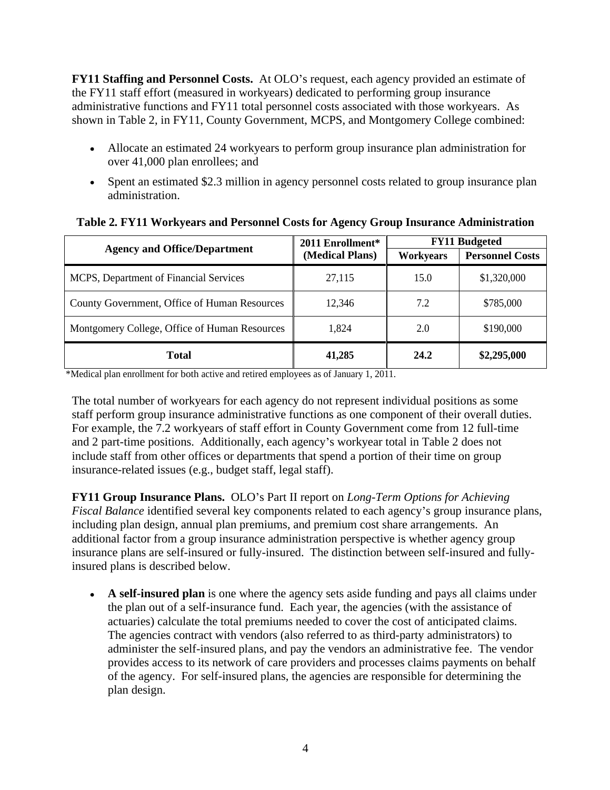**FY11 Staffing and Personnel Costs.** At OLO's request, each agency provided an estimate of the FY11 staff effort (measured in workyears) dedicated to performing group insurance administrative functions and FY11 total personnel costs associated with those workyears. As shown in Table 2, in FY11, County Government, MCPS, and Montgomery College combined:

- Allocate an estimated 24 workyears to perform group insurance plan administration for over 41,000 plan enrollees; and
- Spent an estimated \$2.3 million in agency personnel costs related to group insurance plan administration.

| <b>Agency and Office/Department</b>           | 2011 Enrollment* | <b>FY11 Budgeted</b>     |                        |
|-----------------------------------------------|------------------|--------------------------|------------------------|
|                                               | (Medical Plans)  | Workyears                | <b>Personnel Costs</b> |
| MCPS, Department of Financial Services        | 27,115           | 15.0                     | \$1,320,000            |
| County Government, Office of Human Resources  | 12,346           | $\overline{\phantom{a}}$ | \$785,000              |
| Montgomery College, Office of Human Resources | ,824             |                          | \$190,000              |
| <b>Total</b>                                  | 41,285           | 24.2                     | \$2,295,000            |

#### **Table 2. FY11 Workyears and Personnel Costs for Agency Group Insurance Administration**

\*Medical plan enrollment for both active and retired employees as of January 1, 2011.

The total number of workyears for each agency do not represent individual positions as some staff perform group insurance administrative functions as one component of their overall duties. For example, the 7.2 workyears of staff effort in County Government come from 12 full-time and 2 part-time positions. Additionally, each agency s workyear total in Table 2 does not include staff from other offices or departments that spend a portion of their time on group insurance-related issues (e.g., budget staff, legal staff).

**FY11 Group Insurance Plans.** OLO s Part II report on *Long-Term Options for Achieving Fiscal Balance* identified several key components related to each agency's group insurance plans, including plan design, annual plan premiums, and premium cost share arrangements. An additional factor from a group insurance administration perspective is whether agency group insurance plans are self-insured or fully-insured. The distinction between self-insured and fullyinsured plans is described below.

**A self-insured plan** is one where the agency sets aside funding and pays all claims under the plan out of a self-insurance fund. Each year, the agencies (with the assistance of actuaries) calculate the total premiums needed to cover the cost of anticipated claims. The agencies contract with vendors (also referred to as third-party administrators) to administer the self-insured plans, and pay the vendors an administrative fee. The vendor provides access to its network of care providers and processes claims payments on behalf of the agency. For self-insured plans, the agencies are responsible for determining the plan design.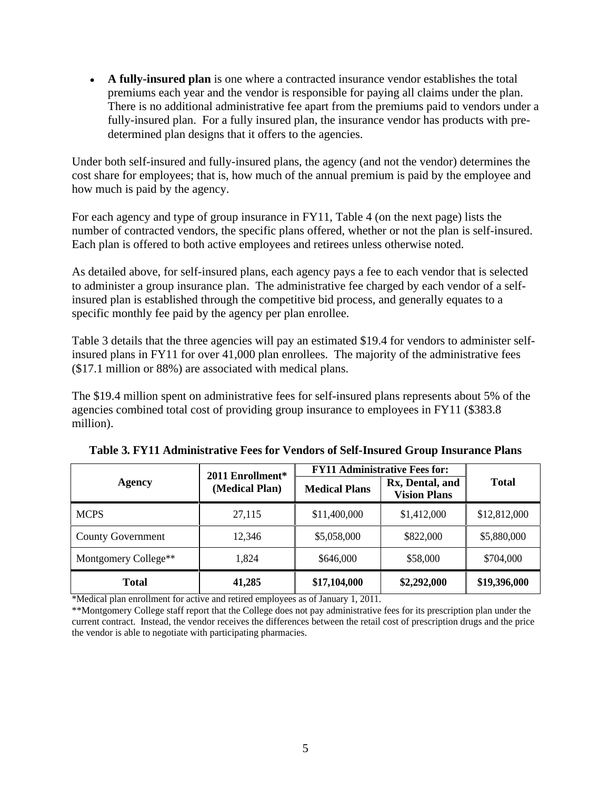**A fully-insured plan** is one where a contracted insurance vendor establishes the total premiums each year and the vendor is responsible for paying all claims under the plan. There is no additional administrative fee apart from the premiums paid to vendors under a fully-insured plan. For a fully insured plan, the insurance vendor has products with pre determined plan designs that it offers to the agencies.

Under both self-insured and fully-insured plans, the agency (and not the vendor) determines the cost share for employees; that is, how much of the annual premium is paid by the employee and how much is paid by the agency.

For each agency and type of group insurance in FY11, Table 4 (on the next page) lists the number of contracted vendors, the specific plans offered, whether or not the plan is self-insured. Each plan is offered to both active employees and retirees unless otherwise noted.

As detailed above, for self-insured plans, each agency pays a fee to each vendor that is selected to administer a group insurance plan. The administrative fee charged by each vendor of a selfinsured plan is established through the competitive bid process, and generally equates to a specific monthly fee paid by the agency per plan enrollee.

Table 3 details that the three agencies will pay an estimated \$19.4 for vendors to administer selfinsured plans in FY11 for over 41,000 plan enrollees. The majority of the administrative fees (\$17.1 million or 88%) are associated with medical plans.

The \$19.4 million spent on administrative fees for self-insured plans represents about 5% of the agencies combined total cost of providing group insurance to employees in FY11 (\$383.8 million).

|                          | 2011 Enrollment* |                      | <b>FY11 Administrative Fees for:</b>     |              |
|--------------------------|------------------|----------------------|------------------------------------------|--------------|
| <b>Agency</b>            | (Medical Plan)   | <b>Medical Plans</b> | Rx, Dental, and  <br><b>Vision Plans</b> | <b>Total</b> |
| <b>MCPS</b>              | 27,115           | \$11,400,000         | \$1,412,000                              | \$12,812,000 |
| <b>County Government</b> | 12,346           | \$5,058,000          | \$822,000                                | \$5,880,000  |
| Montgomery College**     | 1,824            | \$646,000            | \$58,000                                 | \$704,000    |
| <b>Total</b>             | 41,285           | \$17,104,000         | \$2,292,000                              | \$19,396,000 |

**Table 3. FY11 Administrative Fees for Vendors of Self-Insured Group Insurance Plans**

\*Medical plan enrollment for active and retired employees as of January 1, 2011.

\*\*Montgomery College staff report that the College does not pay administrative fees for its prescription plan under the current contract. Instead, the vendor receives the differences between the retail cost of prescription drugs and the price the vendor is able to negotiate with participating pharmacies.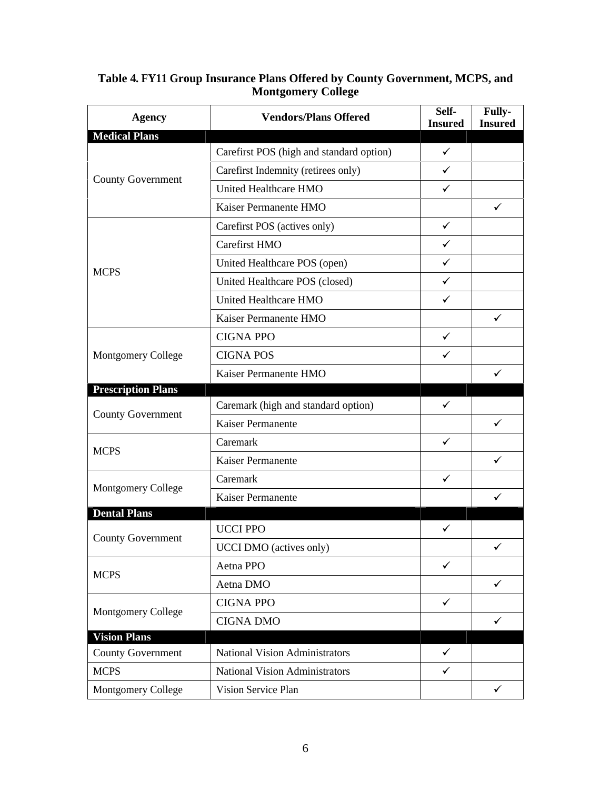| <b>Agency</b>             | <b>Vendors/Plans Offered</b>             | Self-<br><b>Insured</b> | Fully-<br><b>Insured</b> |
|---------------------------|------------------------------------------|-------------------------|--------------------------|
| <b>Medical Plans</b>      |                                          |                         |                          |
|                           | Carefirst POS (high and standard option) | $\checkmark$            |                          |
| County Government         | Carefirst Indemnity (retirees only)      | $\checkmark$            |                          |
|                           | United Healthcare HMO                    | $\checkmark$            |                          |
|                           | Kaiser Permanente HMO                    |                         | $\checkmark$             |
|                           | Carefirst POS (actives only)             | $\checkmark$            |                          |
|                           | <b>Carefirst HMO</b>                     | $\checkmark$            |                          |
|                           | United Healthcare POS (open)             | $\checkmark$            |                          |
| <b>MCPS</b>               | United Healthcare POS (closed)           | $\checkmark$            |                          |
|                           | United Healthcare HMO                    | $\checkmark$            |                          |
|                           | Kaiser Permanente HMO                    |                         |                          |
|                           | CIGNA PPO                                | $\checkmark$            |                          |
| Montgomery College        | <b>CIGNA POS</b>                         |                         |                          |
|                           | Kaiser Permanente HMO                    |                         | $\checkmark$             |
| <b>Prescription Plans</b> |                                          |                         |                          |
|                           | Caremark (high and standard option)      | $\checkmark$            |                          |
| County Government         | Kaiser Permanente                        |                         | $\checkmark$             |
|                           | Caremark                                 | $\checkmark$            |                          |
| <b>MCPS</b>               | Kaiser Permanente                        |                         | $\checkmark$             |
|                           |                                          | $\checkmark$            |                          |
| Montgomery College        | Caremark                                 |                         |                          |
| <b>Dental Plans</b>       | Kaiser Permanente                        |                         |                          |
|                           | UCCI PPO                                 | $\checkmark$            |                          |
| County Government         | UCCI DMO (actives only)                  |                         | $\checkmark$             |
|                           |                                          | $\checkmark$            |                          |
| <b>MCPS</b>               | Aetna PPO                                |                         |                          |
|                           | Aetna DMO                                |                         | $\checkmark$             |
| Montgomery College        | CIGNA PPO                                |                         |                          |
|                           | CIGNA DMO                                |                         | $\checkmark$             |
| <b>Vision Plans</b>       |                                          | $\checkmark$            |                          |
| County Government         | National Vision Administrators           |                         |                          |
| <b>MCPS</b>               | National Vision Administrators           | $\checkmark$            |                          |
| Montgomery College        | Vision Service Plan                      |                         | $\checkmark$             |

#### **Table 4. FY11 Group Insurance Plans Offered by County Government, MCPS, and Montgomery College**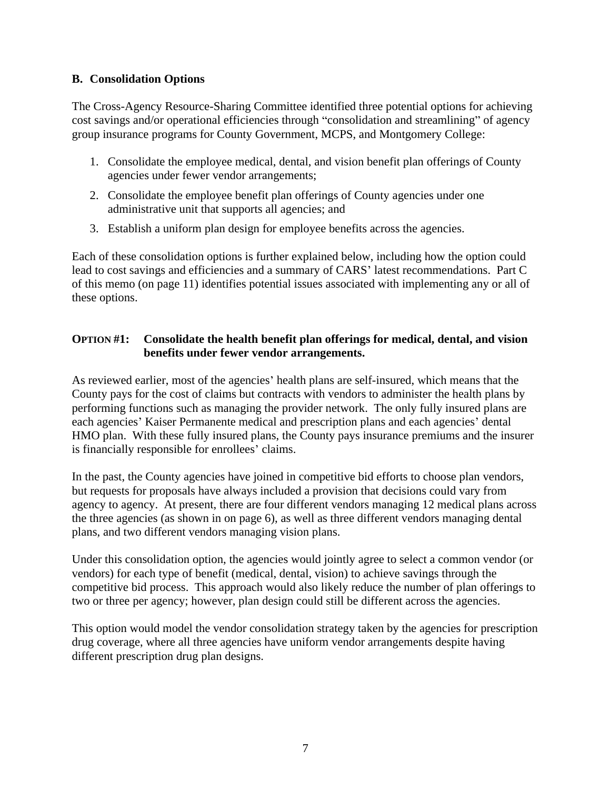## **B. Consolidation Options**

The Cross-Agency Resource-Sharing Committee identified three potential options for achieving cost savings and/or operational efficiencies through "consolidation and streamlining" of agency group insurance programs for County Government, MCPS, and Montgomery College:

- 1. Consolidate the employee medical, dental, and vision benefit plan offerings of County agencies under fewer vendor arrangements;
- 2. Consolidate the employee benefit plan offerings of County agencies under one administrative unit that supports all agencies; and
- 3. Establish a uniform plan design for employee benefits across the agencies.

Each of these consolidation options is further explained below, including how the option could lead to cost savings and efficiencies and a summary of CARS' latest recommendations. Part C of this memo (on page 11) identifies potential issues associated with implementing any or all of these options.

# **OPTION #1: Consolidate the health benefit plan offerings for medical, dental, and vision benefits under fewer vendor arrangements.**

As reviewed earlier, most of the agencies' health plans are self-insured, which means that the County pays for the cost of claims but contracts with vendors to administer the health plans by performing functions such as managing the provider network. The only fully insured plans are each agencies' Kaiser Permanente medical and prescription plans and each agencies' dental HMO plan. With these fully insured plans, the County pays insurance premiums and the insurer is financially responsible for enrollees' claims.

In the past, the County agencies have joined in competitive bid efforts to choose plan vendors, but requests for proposals have always included a provision that decisions could vary from agency to agency. At present, there are four different vendors managing 12 medical plans across the three agencies (as shown in on page 6), as well as three different vendors managing dental plans, and two different vendors managing vision plans.

Under this consolidation option, the agencies would jointly agree to select a common vendor (or vendors) for each type of benefit (medical, dental, vision) to achieve savings through the competitive bid process. This approach would also likely reduce the number of plan offerings to two or three per agency; however, plan design could still be different across the agencies. This option would model the vendor consolidation strategy taken by the agencies for prescription

drug coverage, where all three agencies have uniform vendor arrangements despite having different prescription drug plan designs.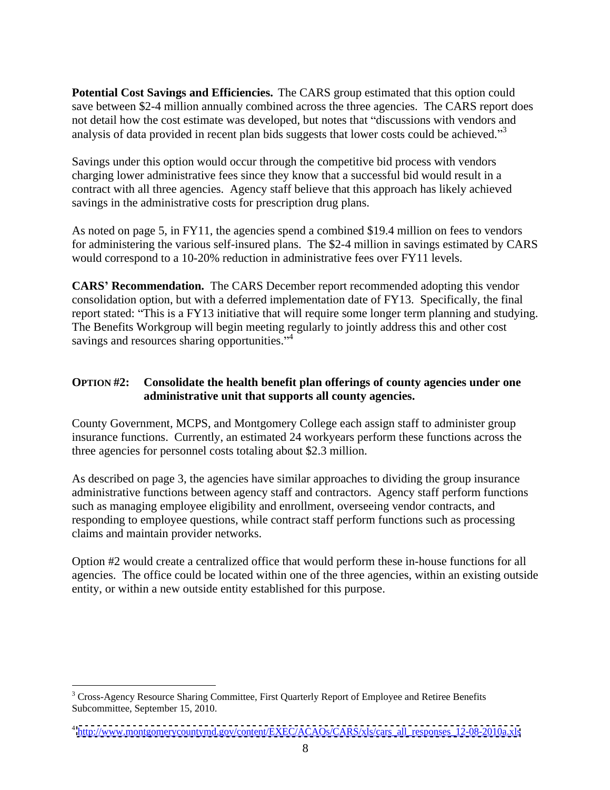**Potential Cost Savings and Efficiencies.** The CARS group estimated that this option could save between \$2-4 million annually combined across the three agencies. The CARS report does not detail how the cost estimate was developed, but notes that "discussions with vendors and analysis of data provided in recent plan bids suggests that lower costs could be achieved.<sup> $3$ </sup>

Savings under this option would occur through the competitive bid process with vendors charging lower administrative fees since they know that a successful bid would result in a contract with all three agencies. Agency staff believe that this approach has likely achieved savings in the administrative costs for prescription drug plans.

As noted on page 5, in FY11, the agencies spend a combined \$19.4 million on fees to vendors for administering the various self-insured plans. The \$2-4 million in savings estimated by CARS would correspond to a 10-20% reduction in administrative fees over FY11 levels.

**CARS Recommendation.** The CARS December report recommended adopting this vendor consolidation option, but with a deferred implementation date of FY13. Specifically, the final report stated: "This is a FY13 initiative that will require some longer term planning and studying. The Benefits Workgroup will begin meeting regularly to jointly address this and other cost savings and resources sharing opportunities."<sup>4</sup>

## **OPTION #2: Consolidate the health benefit plan offerings of county agencies under one administrative unit that supports all county agencies.**

County Government, MCPS, and Montgomery College each assign staff to administer group insurance functions. Currently, an estimated 24 workyears perform these functions across the three agencies for personnel costs totaling about \$2.3 million.

As described on page 3, the agencies have similar approaches to dividing the group insurance administrative functions between agency staff and contractors. Agency staff perform functions such as managing employee eligibility and enrollment, overseeing vendor contracts, and responding to employee questions, while contract staff perform functions such as processing claims and maintain provider networks.

Option #2 would create a centralized office that would perform these in-house functions for all agencies. The office could be located within one of the three agencies, within an existing outside entity, or within a new outside entity established for this purpose.

<sup>&</sup>lt;sup>3</sup> Cross-Agency Resource Sharing Committee, First Quarterly Report of Employee and Retiree Benefits Subcommittee, September 15, 2010.

<sup>&</sup>lt;sup>4</sup> [http://www.montgomerycountymd.gov/content/EXEC/ACAOs/CARS/xls/cars\\_all\\_responses\\_12-08-2010a.xls](http://www.montgomerycountymd.gov/content/EXEC/ACAOs/CARS/xls/cars_all_responses_12-08-2010a.xls)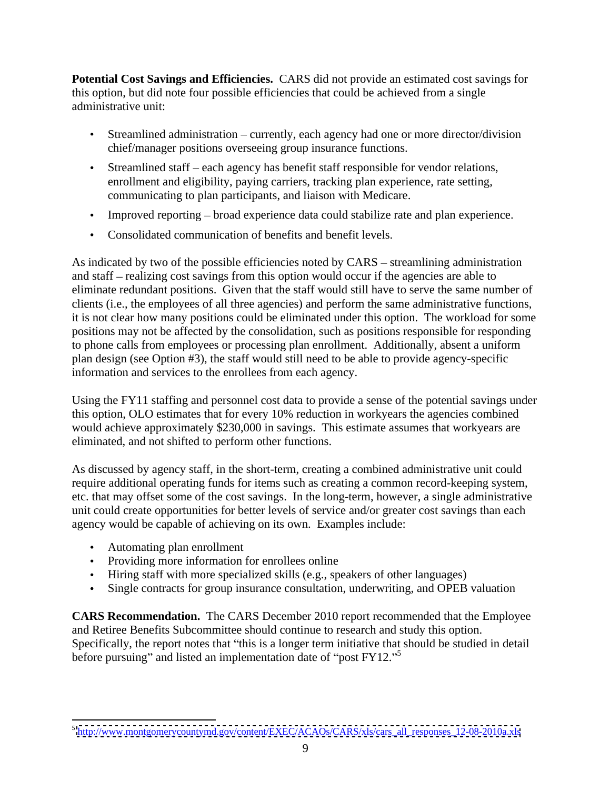**Potential Cost Savings and Efficiencies.** CARS did not provide an estimated cost savings for this option, but did note four possible efficiencies that could be achieved from a single administrative unit:

- $\bullet$  Streamlined administration currently, each agency had one or more director/division chief/manager positions overseeing group insurance functions.
- Streamlined staff each agency has benefit staff responsible for vendor relations, enrollment and eligibility, paying carriers, tracking plan experience, rate setting, communicating to plan participants, and liaison with Medicare.
- Improved reporting  $-\frac{1}{2}$  broad experience data could stabilize rate and plan experience.
- Consolidated communication of benefits and benefit levels.

As indicated by two of the possible efficiencies noted by  $CARS -$  streamlining administration and staff – realizing cost savings from this option would occur if the agencies are able to eliminate redundant positions. Given that the staff would still have to serve the same number of clients (i.e., the employees of all three agencies) and perform the same administrative functions, it is not clear how many positions could be eliminated under this option. The workload for some positions may not be affected by the consolidation, such as positions responsible for responding to phone calls from employees or processing plan enrollment. Additionally, absent a uniform plan design (see Option #3), the staff would still need to be able to provide agency-specific information and services to the enrollees from each agency.

Using the FY11 staffing and personnel cost data to provide a sense of the potential savings under this option, OLO estimates that for every 10% reduction in workyears the agencies combined would achieve approximately \$230,000 in savings. This estimate assumes that workyears are eliminated, and not shifted to perform other functions.

As discussed by agency staff, in the short-term, creating a combined administrative unit could require additional operating funds for items such as creating a common record-keeping system, etc. that may offset some of the cost savings. In the long-term, however, a single administrative unit could create opportunities for better levels of service and/or greater cost savings than each agency would be capable of achieving on its own. Examples include:

- Automating plan enrollment
- Providing more information for enrollees online
- Hiring staff with more specialized skills (e.g., speakers of other languages)
- Single contracts for group insurance consultation, underwriting, and OPEB valuation

**CARS Recommendation.** The CARS December 2010 report recommended that the Employee and Retiree Benefits Subcommittee should continue to research and study this option. Specifically, the report notes that "this is a longer term initiative that should be studied in detail before pursuing" and listed an implementation date of "post  $FY12."$ 

 <sup>5</sup> [http://www.montgomerycountymd.gov/content/EXEC/ACAOs/CARS/xls/cars\\_all\\_responses\\_12-08-2010a.xls](http://www.montgomerycountymd.gov/content/EXEC/ACAOs/CARS/xls/cars_all_responses_12-08-2010a.xls)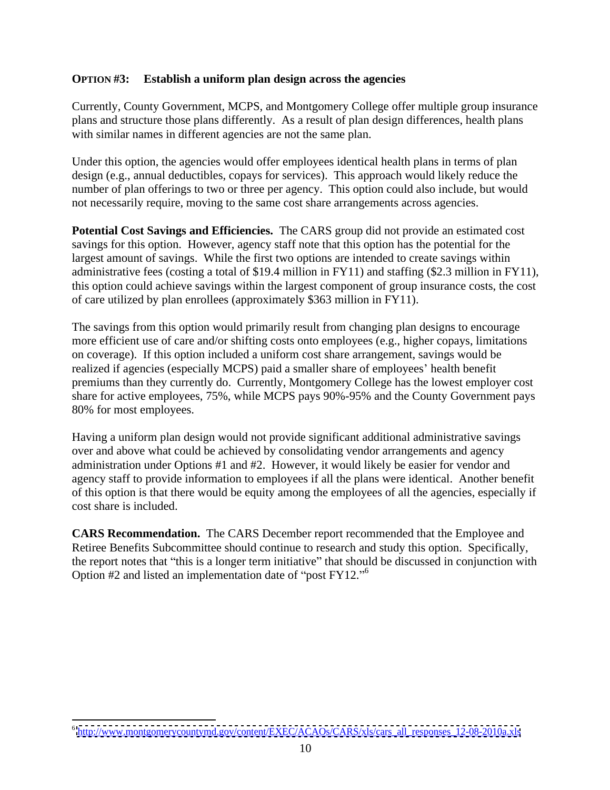#### **OPTION #3: Establish a uniform plan design across the agencies**

Currently, County Government, MCPS, and Montgomery College offer multiple group insurance plans and structure those plans differently. As a result of plan design differences, health plans with similar names in different agencies are not the same plan.

Under this option, the agencies would offer employees identical health plans in terms of plan design (e.g., annual deductibles, copays for services). This approach would likely reduce the number of plan offerings to two or three per agency. This option could also include, but would not necessarily require, moving to the same cost share arrangements across agencies.

**Potential Cost Savings and Efficiencies.** The CARS group did not provide an estimated cost savings for this option. However, agency staff note that this option has the potential for the largest amount of savings. While the first two options are intended to create savings within administrative fees (costing a total of \$19.4 million in FY11) and staffing (\$2.3 million in FY11), this option could achieve savings within the largest component of group insurance costs, the cost of care utilized by plan enrollees (approximately \$363 million in FY11).

The savings from this option would primarily result from changing plan designs to encourage more efficient use of care and/or shifting costs onto employees (e.g., higher copays, limitations on coverage). If this option included a uniform cost share arrangement, savings would be realized if agencies (especially MCPS) paid a smaller share of employees' health benefit premiums than they currently do. Currently, Montgomery College has the lowest employer cost share for active employees, 75%, while MCPS pays 90%-95% and the County Government pays 80% for most employees.

Having a uniform plan design would not provide significant additional administrative savings over and above what could be achieved by consolidating vendor arrangements and agency administration under Options #1 and #2. However, it would likely be easier for vendor and agency staff to provide information to employees if all the plans were identical. Another benefit of this option is that there would be equity among the employees of all the agencies, especially if cost share is included.

**CARS Recommendation.** The CARS December report recommended that the Employee and Retiree Benefits Subcommittee should continue to research and study this option. Specifically, the report notes that "this is a longer term initiative" that should be discussed in conjunction with Option  $#2$  and listed an implementation date of "post  $FY12."$ <sup>6</sup>

 <sup>6</sup> [http://www.montgomerycountymd.gov/content/EXEC/ACAOs/CARS/xls/cars\\_all\\_responses\\_12-08-2010a.xls](http://www.montgomerycountymd.gov/content/EXEC/ACAOs/CARS/xls/cars_all_responses_12-08-2010a.xls)